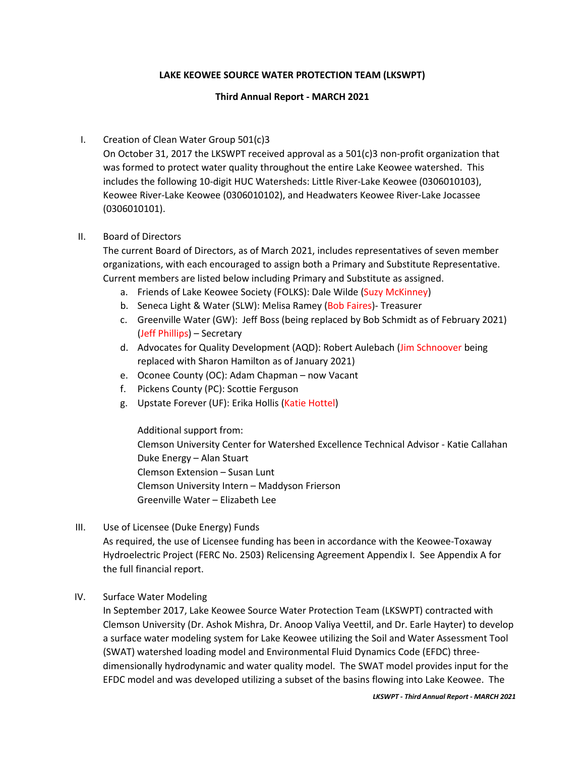## **LAKE KEOWEE SOURCE WATER PROTECTION TEAM (LKSWPT)**

## **Third Annual Report - MARCH 2021**

# I. Creation of Clean Water Group 501(c)3

On October 31, 2017 the LKSWPT received approval as a 501(c)3 non-profit organization that was formed to protect water quality throughout the entire Lake Keowee watershed. This includes the following 10-digit HUC Watersheds: Little River-Lake Keowee (0306010103), Keowee River-Lake Keowee (0306010102), and Headwaters Keowee River-Lake Jocassee (0306010101).

## II. Board of Directors

The current Board of Directors, as of March 2021, includes representatives of seven member organizations, with each encouraged to assign both a Primary and Substitute Representative. Current members are listed below including Primary and Substitute as assigned.

- a. Friends of Lake Keowee Society (FOLKS): Dale Wilde (Suzy McKinney)
- b. Seneca Light & Water (SLW): Melisa Ramey (Bob Faires)- Treasurer
- c. Greenville Water (GW): Jeff Boss (being replaced by Bob Schmidt as of February 2021) (Jeff Phillips) – Secretary
- d. Advocates for Quality Development (AQD): Robert Aulebach (Jim Schnoover being replaced with Sharon Hamilton as of January 2021)
- e. Oconee County (OC): Adam Chapman now Vacant
- f. Pickens County (PC): Scottie Ferguson
- g. Upstate Forever (UF): Erika Hollis (Katie Hottel)

Additional support from: Clemson University Center for Watershed Excellence Technical Advisor - Katie Callahan Duke Energy – Alan Stuart Clemson Extension – Susan Lunt Clemson University Intern – Maddyson Frierson Greenville Water – Elizabeth Lee

III. Use of Licensee (Duke Energy) Funds

As required, the use of Licensee funding has been in accordance with the Keowee-Toxaway Hydroelectric Project (FERC No. 2503) Relicensing Agreement Appendix I. See Appendix A for the full financial report.

### IV. Surface Water Modeling

In September 2017, Lake Keowee Source Water Protection Team (LKSWPT) contracted with Clemson University (Dr. Ashok Mishra, Dr. Anoop Valiya Veettil, and Dr. Earle Hayter) to develop a surface water modeling system for Lake Keowee utilizing the Soil and Water Assessment Tool (SWAT) watershed loading model and Environmental Fluid Dynamics Code (EFDC) threedimensionally hydrodynamic and water quality model. The SWAT model provides input for the EFDC model and was developed utilizing a subset of the basins flowing into Lake Keowee. The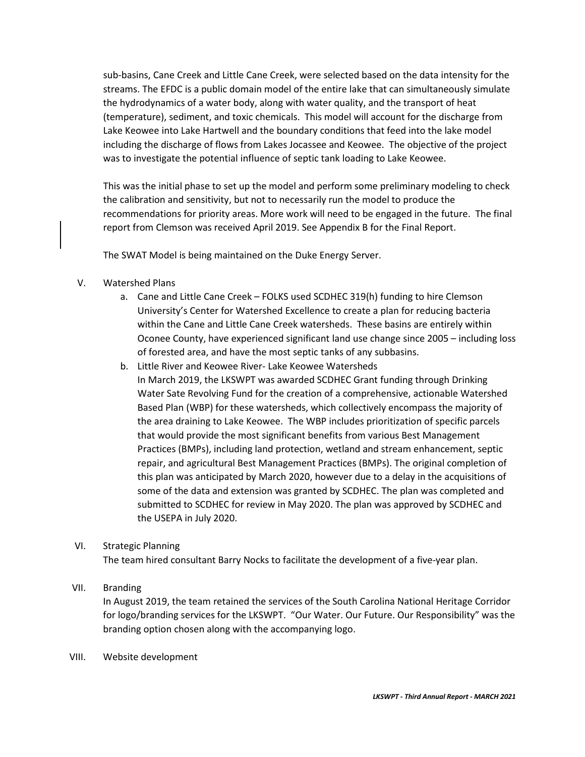sub-basins, Cane Creek and Little Cane Creek, were selected based on the data intensity for the streams. The EFDC is a public domain model of the entire lake that can simultaneously simulate the hydrodynamics of a water body, along with water quality, and the transport of heat (temperature), sediment, and toxic chemicals. This model will account for the discharge from Lake Keowee into Lake Hartwell and the boundary conditions that feed into the lake model including the discharge of flows from Lakes Jocassee and Keowee. The objective of the project was to investigate the potential influence of septic tank loading to Lake Keowee.

This was the initial phase to set up the model and perform some preliminary modeling to check the calibration and sensitivity, but not to necessarily run the model to produce the recommendations for priority areas. More work will need to be engaged in the future. The final report from Clemson was received April 2019. See Appendix B for the Final Report.

The SWAT Model is being maintained on the Duke Energy Server.

- V. Watershed Plans
	- a. Cane and Little Cane Creek FOLKS used SCDHEC 319(h) funding to hire Clemson University's Center for Watershed Excellence to create a plan for reducing bacteria within the Cane and Little Cane Creek watersheds. These basins are entirely within Oconee County, have experienced significant land use change since 2005 – including loss of forested area, and have the most septic tanks of any subbasins.
	- b. Little River and Keowee River- Lake Keowee Watersheds In March 2019, the LKSWPT was awarded SCDHEC Grant funding through Drinking Water Sate Revolving Fund for the creation of a comprehensive, actionable Watershed Based Plan (WBP) for these watersheds, which collectively encompass the majority of the area draining to Lake Keowee. The WBP includes prioritization of specific parcels that would provide the most significant benefits from various Best Management Practices (BMPs), including land protection, wetland and stream enhancement, septic repair, and agricultural Best Management Practices (BMPs). The original completion of this plan was anticipated by March 2020, however due to a delay in the acquisitions of some of the data and extension was granted by SCDHEC. The plan was completed and submitted to SCDHEC for review in May 2020. The plan was approved by SCDHEC and the USEPA in July 2020.

### VI. Strategic Planning

The team hired consultant Barry Nocks to facilitate the development of a five-year plan.

#### VII. Branding

In August 2019, the team retained the services of the South Carolina National Heritage Corridor for logo/branding services for the LKSWPT. "Our Water. Our Future. Our Responsibility" was the branding option chosen along with the accompanying logo.

VIII. Website development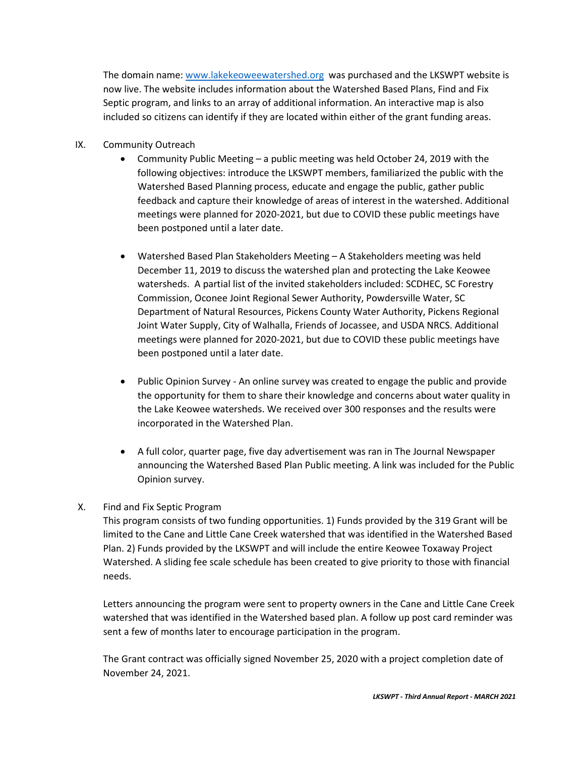The domain name: [www.lakekeoweewatershed.org](http://www.lakekeoweewatershed.org/) was purchased and the LKSWPT website is now live. The website includes information about the Watershed Based Plans, Find and Fix Septic program, and links to an array of additional information. An interactive map is also included so citizens can identify if they are located within either of the grant funding areas.

- IX. Community Outreach
	- Community Public Meeting a public meeting was held October 24, 2019 with the following objectives: introduce the LKSWPT members, familiarized the public with the Watershed Based Planning process, educate and engage the public, gather public feedback and capture their knowledge of areas of interest in the watershed. Additional meetings were planned for 2020-2021, but due to COVID these public meetings have been postponed until a later date.
	- Watershed Based Plan Stakeholders Meeting A Stakeholders meeting was held December 11, 2019 to discuss the watershed plan and protecting the Lake Keowee watersheds. A partial list of the invited stakeholders included: SCDHEC, SC Forestry Commission, Oconee Joint Regional Sewer Authority, Powdersville Water, SC Department of Natural Resources, Pickens County Water Authority, Pickens Regional Joint Water Supply, City of Walhalla, Friends of Jocassee, and USDA NRCS. Additional meetings were planned for 2020-2021, but due to COVID these public meetings have been postponed until a later date.
	- Public Opinion Survey An online survey was created to engage the public and provide the opportunity for them to share their knowledge and concerns about water quality in the Lake Keowee watersheds. We received over 300 responses and the results were incorporated in the Watershed Plan.
	- A full color, quarter page, five day advertisement was ran in The Journal Newspaper announcing the Watershed Based Plan Public meeting. A link was included for the Public Opinion survey.

# X. Find and Fix Septic Program

This program consists of two funding opportunities. 1) Funds provided by the 319 Grant will be limited to the Cane and Little Cane Creek watershed that was identified in the Watershed Based Plan. 2) Funds provided by the LKSWPT and will include the entire Keowee Toxaway Project Watershed. A sliding fee scale schedule has been created to give priority to those with financial needs.

Letters announcing the program were sent to property owners in the Cane and Little Cane Creek watershed that was identified in the Watershed based plan. A follow up post card reminder was sent a few of months later to encourage participation in the program.

The Grant contract was officially signed November 25, 2020 with a project completion date of November 24, 2021.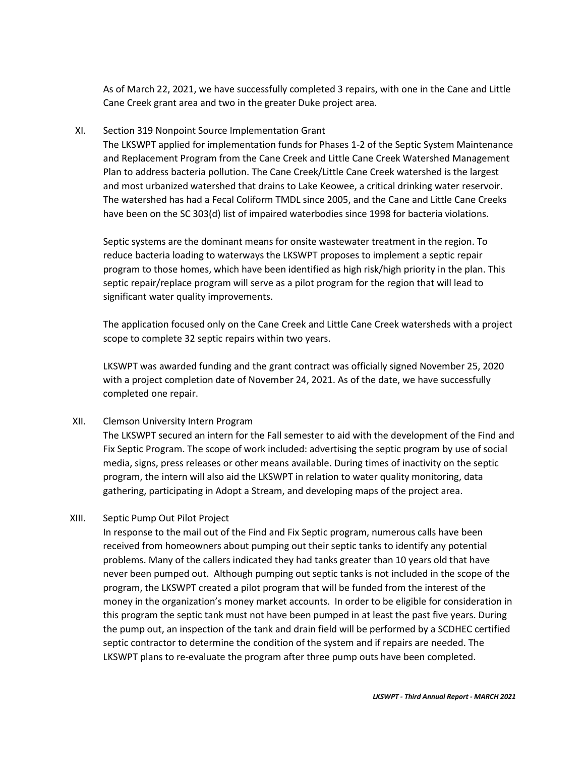As of March 22, 2021, we have successfully completed 3 repairs, with one in the Cane and Little Cane Creek grant area and two in the greater Duke project area.

### XI. Section 319 Nonpoint Source Implementation Grant

The LKSWPT applied for implementation funds for Phases 1-2 of the Septic System Maintenance and Replacement Program from the Cane Creek and Little Cane Creek Watershed Management Plan to address bacteria pollution. The Cane Creek/Little Cane Creek watershed is the largest and most urbanized watershed that drains to Lake Keowee, a critical drinking water reservoir. The watershed has had a Fecal Coliform TMDL since 2005, and the Cane and Little Cane Creeks have been on the SC 303(d) list of impaired waterbodies since 1998 for bacteria violations.

Septic systems are the dominant means for onsite wastewater treatment in the region. To reduce bacteria loading to waterways the LKSWPT proposes to implement a septic repair program to those homes, which have been identified as high risk/high priority in the plan. This septic repair/replace program will serve as a pilot program for the region that will lead to significant water quality improvements.

The application focused only on the Cane Creek and Little Cane Creek watersheds with a project scope to complete 32 septic repairs within two years.

LKSWPT was awarded funding and the grant contract was officially signed November 25, 2020 with a project completion date of November 24, 2021. As of the date, we have successfully completed one repair.

# XII. Clemson University Intern Program

The LKSWPT secured an intern for the Fall semester to aid with the development of the Find and Fix Septic Program. The scope of work included: advertising the septic program by use of social media, signs, press releases or other means available. During times of inactivity on the septic program, the intern will also aid the LKSWPT in relation to water quality monitoring, data gathering, participating in Adopt a Stream, and developing maps of the project area.

# XIII. Septic Pump Out Pilot Project

In response to the mail out of the Find and Fix Septic program, numerous calls have been received from homeowners about pumping out their septic tanks to identify any potential problems. Many of the callers indicated they had tanks greater than 10 years old that have never been pumped out. Although pumping out septic tanks is not included in the scope of the program, the LKSWPT created a pilot program that will be funded from the interest of the money in the organization's money market accounts. In order to be eligible for consideration in this program the septic tank must not have been pumped in at least the past five years. During the pump out, an inspection of the tank and drain field will be performed by a SCDHEC certified septic contractor to determine the condition of the system and if repairs are needed. The LKSWPT plans to re-evaluate the program after three pump outs have been completed.